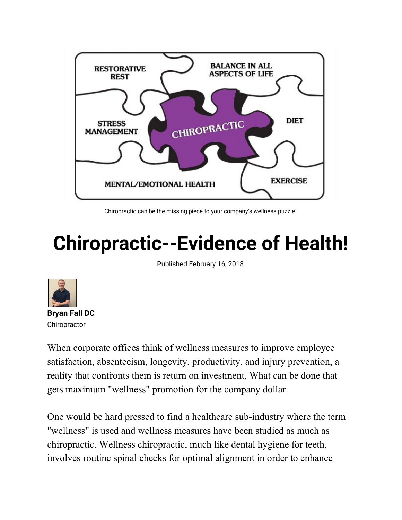

Chiropractic can be the missing piece to your company's wellness puzzle.

## **Chiropractic--Evidence of Health!**

Published February 16, 2018

![](_page_0_Picture_4.jpeg)

When corporate offices think of wellness measures to improve employee satisfaction, absenteeism, longevity, productivity, and injury prevention, a reality that confronts them is return on investment. What can be done that gets maximum "wellness" promotion for the company dollar.

One would be hard pressed to find a healthcare sub-industry where the term "wellness" is used and wellness measures have been studied as much as chiropractic. Wellness chiropractic, much like dental hygiene for teeth, involves routine spinal checks for optimal alignment in order to enhance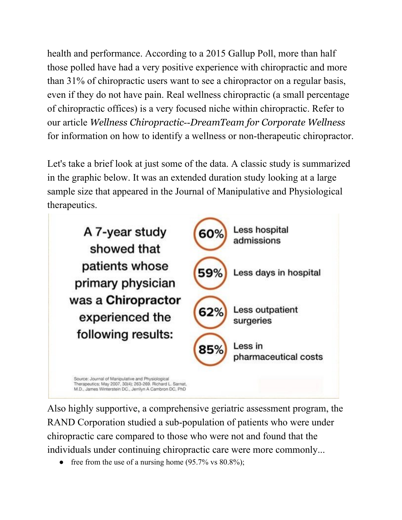health and performance. According to a 2015 Gallup Poll, more than half those polled have had a very positive experience with chiropractic and more than 31% of chiropractic users want to see a chiropractor on a regular basis, even if they do not have pain. Real wellness chiropractic (a small percentage of chiropractic offices) is a very focused niche within chiropractic. Refer to our article *Wellness Chiropractic*--*DreamTeam for Corporate Wellness* for information on how to identify a wellness or non-therapeutic chiropractor.

Let's take a brief look at just some of the data. A classic study is summarized in the graphic below. It was an extended duration study looking at a large sample size that appeared in the Journal of Manipulative and Physiological therapeutics.

![](_page_1_Picture_2.jpeg)

Also highly supportive, a comprehensive geriatric assessment program, the RAND Corporation studied a sub-population of patients who were under chiropractic care compared to those who were not and found that the individuals under continuing chiropractic care were more commonly...

• free from the use of a nursing home  $(95.7\% \text{ vs } 80.8\%);$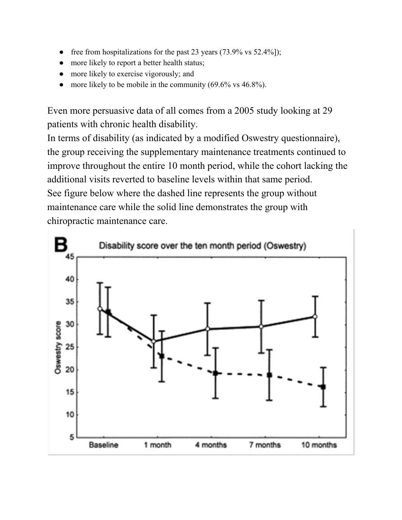- free from hospitalizations for the past 23 years  $(73.9\% \text{ vs } 52.4\%$ ]);
- more likely to report a better health status;
- more likely to exercise vigorously; and
- more likely to be mobile in the community  $(69.6\% \text{ vs } 46.8\%).$

Even more persuasive data of all comes from a 2005 study looking at 29 patients with chronic health disability.

In terms of disability (as indicated by a modified Oswestry questionnaire), the group receiving the supplementary maintenance treatments continued to improve throughout the entire 10 month period, while the cohort lacking the additional visits reverted to baseline levels within that same period. See figure below where the dashed line represents the group without maintenance care while the solid line demonstrates the group with chiropractic maintenance care.

![](_page_2_Figure_6.jpeg)